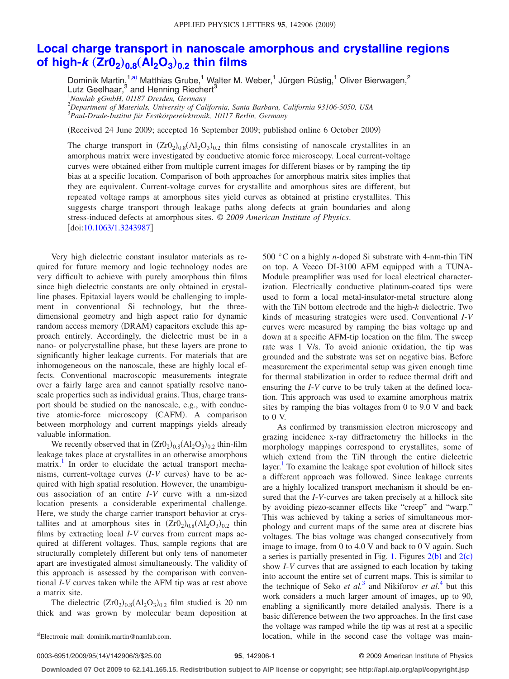## **[Local charge transport in nanoscale amorphous and crystalline regions](http://dx.doi.org/10.1063/1.3243987) of high-***k*  $(Zr0_2)_{0.8} (Al_2O_3)_{0.2}$  [thin films](http://dx.doi.org/10.1063/1.3243987)

Dominik Martin, $1,a$  $1,a$ ) Matthias Grube, $1$  Walter M. Weber, $1$  Jürgen Rüstig, $1$  Oliver Bierwagen, $^2$ Lutz Geelhaar,3 and Henning Riechert3 1 *Namlab gGmbH, 01187 Dresden, Germany*

2 *Department of Materials, University of California, Santa Barbara, California 93106-5050, USA* 3 *Paul-Drude-Institut für Festkörperelektronik, 10117 Berlin, Germany*

Received 24 June 2009; accepted 16 September 2009; published online 6 October 2009-

The charge transport in  $(Zr0<sub>2</sub>)<sub>0.8</sub>(Al<sub>2</sub>O<sub>3</sub>)<sub>0.2</sub>$  thin films consisting of nanoscale crystallites in an amorphous matrix were investigated by conductive atomic force microscopy. Local current-voltage curves were obtained either from multiple current images for different biases or by ramping the tip bias at a specific location. Comparison of both approaches for amorphous matrix sites implies that they are equivalent. Current-voltage curves for crystallite and amorphous sites are different, but repeated voltage ramps at amorphous sites yield curves as obtained at pristine crystallites. This suggests charge transport through leakage paths along defects at grain boundaries and along stress-induced defects at amorphous sites. © *2009 American Institute of Physics*. doi[:10.1063/1.3243987](http://dx.doi.org/10.1063/1.3243987)

Very high dielectric constant insulator materials as required for future memory and logic technology nodes are very difficult to achieve with purely amorphous thin films since high dielectric constants are only obtained in crystalline phases. Epitaxial layers would be challenging to implement in conventional Si technology, but the threedimensional geometry and high aspect ratio for dynamic random access memory (DRAM) capacitors exclude this approach entirely. Accordingly, the dielectric must be in a nano- or polycrystalline phase, but these layers are prone to significantly higher leakage currents. For materials that are inhomogeneous on the nanoscale, these are highly local effects. Conventional macroscopic measurements integrate over a fairly large area and cannot spatially resolve nanoscale properties such as individual grains. Thus, charge transport should be studied on the nanoscale, e.g., with conductive atomic-force microscopy (CAFM). A comparison between morphology and current mappings yields already valuable information.

We recently observed that in  $(Zr0<sub>2</sub>)<sub>0.8</sub>(Al<sub>2</sub>O<sub>3</sub>)<sub>0.2</sub>$  thin-film leakage takes place at crystallites in an otherwise amorphous matrix.<sup>1</sup> In order to elucidate the actual transport mechanisms, current-voltage curves  $(I-V)$  curves) have to be acquired with high spatial resolution. However, the unambiguous association of an entire *I*-*V* curve with a nm-sized location presents a considerable experimental challenge. Here, we study the charge carrier transport behavior at crystallites and at amorphous sites in  $(Zr0<sub>2</sub>)<sub>0.8</sub>(Al<sub>2</sub>O<sub>3</sub>)<sub>0.2</sub>$  thin films by extracting local *I*-*V* curves from current maps acquired at different voltages. Thus, sample regions that are structurally completely different but only tens of nanometer apart are investigated almost simultaneously. The validity of this approach is assessed by the comparison with conventional *I*-*V* curves taken while the AFM tip was at rest above a matrix site.

<span id="page-0-0"></span>The dielectric  $(ZrO<sub>2</sub>)<sub>0.8</sub>(Al<sub>2</sub>O<sub>3</sub>)<sub>0.2</sub>$  film studied is 20 nm thick and was grown by molecular beam deposition at

Electronic mail: dominik.martin@namlab.com.

500 °C on a highly *n*-doped Si substrate with 4-nm-thin TiN on top. A Veeco DI-3100 AFM equipped with a TUNA-Module preamplifier was used for local electrical characterization. Electrically conductive platinum-coated tips were used to form a local metal-insulator-metal structure along with the TiN bottom electrode and the high-*k* dielectric. Two kinds of measuring strategies were used. Conventional *I*-*V* curves were measured by ramping the bias voltage up and down at a specific AFM-tip location on the film. The sweep rate was 1 V/s. To avoid anionic oxidation, the tip was grounded and the substrate was set on negative bias. Before measurement the experimental setup was given enough time for thermal stabilization in order to reduce thermal drift and ensuring the *I*-*V* curve to be truly taken at the defined location. This approach was used to examine amorphous matrix sites by ramping the bias voltages from 0 to 9.0 V and back to 0 V.

As confirmed by transmission electron microscopy and grazing incidence x-ray diffractometry the hillocks in the morphology mappings correspond to crystallites, some of which extend from the TiN through the entire dielectric layer.<sup>1</sup> To examine the leakage spot evolution of hillock sites a different approach was followed. Since leakage currents are a highly localized transport mechanism it should be ensured that the *I*-*V*-curves are taken precisely at a hillock site by avoiding piezo-scanner effects like "creep" and "warp." This was achieved by taking a series of simultaneous morphology and current maps of the same area at discrete bias voltages. The bias voltage was changed consecutively from image to image, from 0 to 4.0 V and back to 0 V again. Such a series is partially presented in Fig. [1.](#page-1-0) Figures  $2(b)$  $2(b)$  and  $2(c)$ show *I*-*V* curves that are assigned to each location by taking into account the entire set of current maps. This is similar to the technique of Seko *et al.*<sup>[3](#page-2-1)</sup> and Nikiforov *et al.*<sup>[4](#page-2-2)</sup> but this work considers a much larger amount of images, up to 90, enabling a significantly more detailed analysis. There is a basic difference between the two approaches. In the first case the voltage was ramped while the tip was at rest at a specific location, while in the second case the voltage was main-

0003-6951/2009/95(14)/142906/3/\$25.00

## **95**, 142906-1 © 2009 American Institute of Physics

**Downloaded 07 Oct 2009 to 62.141.165.15. Redistribution subject to AIP license or copyright; see http://apl.aip.org/apl/copyright.jsp**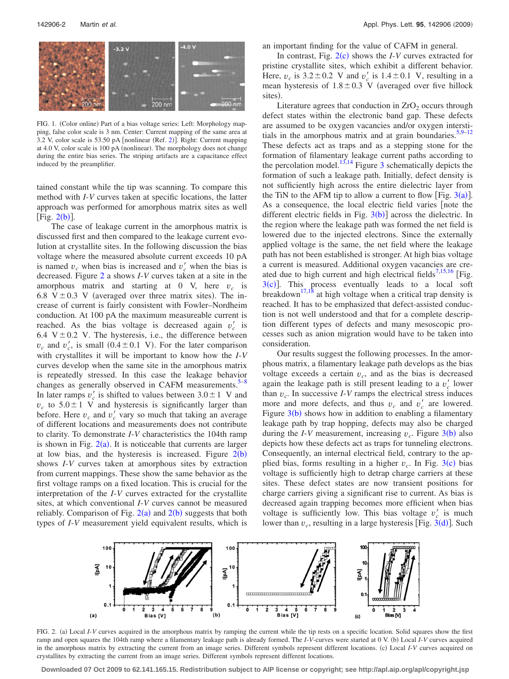<span id="page-1-0"></span>

FIG. 1. (Color online) Part of a bias voltage series: Left: Morphology mapping, false color scale is 3 nm. Center: Current mapping of the same area at 3.[2](#page-2-15) V, color scale is 53.50 pA [nonlinear (Ref. 2)]. Right: Current mapping at 4.0 V, color scale is 100 pA (nonlinear). The morphology does not change during the entire bias series. The striping artifacts are a capacitance effect induced by the preamplifier.

tained constant while the tip was scanning. To compare this method with *I*-*V* curves taken at specific locations, the latter approach was performed for amorphous matrix sites as well [Fig.  $2(b)$  $2(b)$ ].

The case of leakage current in the amorphous matrix is discussed first and then compared to the leakage current evolution at crystallite sites. In the following discussion the bias voltage where the measured absolute current exceeds 10 pA is named  $v_c$  when bias is increased and  $v_c'$  when the bias is decreased. Figure [2](#page-1-1) a shows *I*-*V* curves taken at a site in the amorphous matrix and starting at 0 V, here  $v_c$  is 6.8 V  $\pm$  0.3 V (averaged over three matrix sites). The increase of current is fairly consistent with Fowler–Nordheim conduction. At 100 pA the maximum measureable current is reached. As the bias voltage is decreased again  $v'_c$  is 6.4 V $\pm$  0.2 V. The hysteresis, i.e., the difference between  $v_c$  and  $v_c'$ , is small (0.4  $\pm$  0.1 V). For the later comparison with crystallites it will be important to know how the *I*-*V* curves develop when the same site in the amorphous matrix is repeatedly stressed. In this case the leakage behavior changes as generally observed in CAFM measurements. $5-8$  $5-8$ In later ramps  $v'_c$  is shifted to values between  $3.0 \pm 1$  V and  $v_c$  to  $5.0 \pm 1$  V and hysteresis is significantly larger than before. Here  $v_c$  and  $v_c'$  vary so much that taking an average of different locations and measurements does not contribute to clarity. To demonstrate *I*-*V* characteristics the 104th ramp is shown in Fig.  $2(a)$  $2(a)$ . It is noticeable that currents are larger at low bias, and the hysteresis is increased. Figure  $2(b)$  $2(b)$ shows *I*-*V* curves taken at amorphous sites by extraction from current mappings. These show the same behavior as the first voltage ramps on a fixed location. This is crucial for the interpretation of the *I*-*V* curves extracted for the crystallite sites, at which conventional *I*-*V* curves cannot be measured reliably. Comparison of Fig.  $2(a)$  $2(a)$  and  $2(b)$  suggests that both types of *I*-*V* measurement yield equivalent results, which is an important finding for the value of CAFM in general.

In contrast, Fig.  $2(c)$  $2(c)$  shows the *I*-*V* curves extracted for pristine crystallite sites, which exhibit a different behavior. Here,  $v_c$  is  $3.2 \pm 0.2$  V and  $v_c$  is  $1.4 \pm 0.1$  V, resulting in a mean hysteresis of  $1.8 \pm 0.3$  V (averaged over five hillock sites).

Literature agrees that conduction in  $ZrO<sub>2</sub>$  occurs through defect states within the electronic band gap. These defects are assumed to be oxygen vacancies and/or oxygen intersti-tials in the amorphous matrix and at grain boundaries.<sup>5,[9](#page-2-5)[–12](#page-2-6)</sup> These defects act as traps and as a stepping stone for the formation of filamentary leakage current paths according to the percolation model.<sup>13[,14](#page-2-8)</sup> Figure [3](#page-2-9) schematically depicts the formation of such a leakage path. Initially, defect density is not sufficiently high across the entire dielectric layer from the TiN to the AFM tip to allow a current to flow [Fig.  $3(a)$  $3(a)$ ]. As a consequence, the local electric field varies note the different electric fields in Fig.  $3(b)$  $3(b)$ ] across the dielectric. In the region where the leakage path was formed the net field is lowered due to the injected electrons. Since the externally applied voltage is the same, the net field where the leakage path has not been established is stronger. At high bias voltage a current is measured. Additional oxygen vacancies are cre-ated due to high current and high electrical fields<sup>7,[15,](#page-2-11)[16](#page-2-12)</sup> [Fig.  $3(c)$  $3(c)$ ]. This process eventually leads to a local soft breakdown<sup>17[,18](#page-2-14)</sup> at high voltage when a critical trap density is reached. It has to be emphasized that defect-assisted conduction is not well understood and that for a complete description different types of defects and many mesoscopic processes such as anion migration would have to be taken into consideration.

Our results suggest the following processes. In the amorphous matrix, a filamentary leakage path develops as the bias voltage exceeds a certain  $v_c$ , and as the bias is decreased again the leakage path is still present leading to a  $v_c$  lower than  $v_c$ . In successive *I*-*V* ramps the electrical stress induces more and more defects, and thus  $v_c$  and  $v_c'$  are lowered. Figure  $3(b)$  $3(b)$  shows how in addition to enabling a filamentary leakage path by trap hopping, defects may also be charged during the *I*-*V* measurement, increasing  $v_c$ . Figure [3](#page-2-9)(b) also depicts how these defects act as traps for tunneling electrons. Consequently, an internal electrical field, contrary to the applied bias, forms resulting in a higher  $v_c$ . In Fig. [3](#page-2-9)(c) bias voltage is sufficiently high to detrap charge carriers at these sites. These defect states are now transient positions for charge carriers giving a significant rise to current. As bias is decreased again trapping becomes more efficient when bias voltage is sufficiently low. This bias voltage  $v_c$  is much lower than  $v_c$ , resulting in a large hysteresis [Fig.  $3(d)$  $3(d)$ ]. Such

<span id="page-1-1"></span>

FIG. 2. (a) Local *I*-*V* curves acquired in the amorphous matrix by ramping the current while the tip rests on a specific location. Solid squares show the first ramp and open squares the 104th ramp where a filamentary leakage path is already formed. The *I*-V-curves were started at 0 V. (b) Local *I*-V curves acquired in the amorphous matrix by extracting the current from an image series. Different symbols represent different locations. (c) Local *I-V* curves acquired on crystallites by extracting the current from an image series. Different symbols represent different locations.

**Downloaded 07 Oct 2009 to 62.141.165.15. Redistribution subject to AIP license or copyright; see http://apl.aip.org/apl/copyright.jsp**